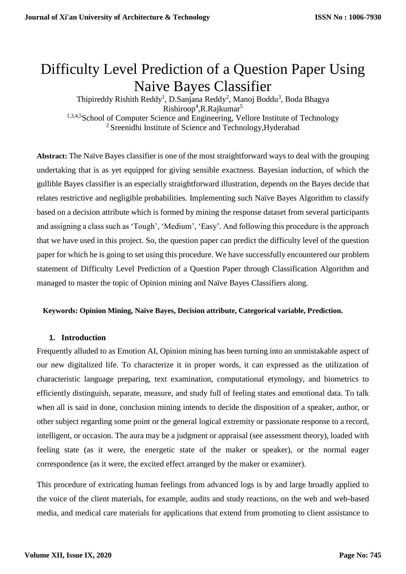# Difficulty Level Prediction of a Question Paper Using Naive Bayes Classifier

Thipireddy Rishith Reddy<sup>1</sup>, D.Sanjana Reddy<sup>2</sup>, Manoj Boddu<sup>3</sup>, Boda Bhagya Rishiroop<sup>4</sup>, R.Rajkumar<sup>5</sup> 1,3,4,5School of Computer Science and Engineering, Vellore Institute of Technology <sup>2</sup> Sreenidhi Institute of Science and Technology, Hyderabad

**Abstract:** The Naïve Bayes classifier is one of the most straightforward ways to deal with the grouping undertaking that is as yet equipped for giving sensible exactness. Bayesian induction, of which the gullible Bayes classifier is an especially straightforward illustration, depends on the Bayes decide that relates restrictive and negligible probabilities. Implementing such Naïve Bayes Algorithm to classify based on a decision attribute which is formed by mining the response dataset from several participants and assigning a class such as 'Tough', 'Medium', 'Easy'. And following this procedure is the approach that we have used in this project. So, the question paper can predict the difficulty level of the question paper for which he is going to set using this procedure. We have successfully encountered our problem statement of Difficulty Level Prediction of a Question Paper through Classification Algorithm and managed to master the topic of Opinion mining and Naïve Bayes Classifiers along.

# **Keywords: Opinion Mining, Naïve Bayes, Decision attribute, Categorical variable, Prediction.**

# **1. Introduction**

Frequently alluded to as Emotion AI, Opinion mining has been turning into an unmistakable aspect of our new digitalized life. To characterize it in proper words, it can expressed as the utilization of characteristic language preparing, text examination, computational etymology, and biometrics to efficiently distinguish, separate, measure, and study full of feeling states and emotional data. To talk when all is said in done, conclusion mining intends to decide the disposition of a speaker, author, or other subject regarding some point or the general logical extremity or passionate response to a record, intelligent, or occasion. The aura may be a judgment or appraisal (see assessment theory), loaded with feeling state (as it were, the energetic state of the maker or speaker), or the normal eager correspondence (as it were, the excited effect arranged by the maker or examiner).

This procedure of extricating human feelings from advanced logs is by and large broadly applied to the voice of the client materials, for example, audits and study reactions, on the web and web-based media, and medical care materials for applications that extend from promoting to client assistance to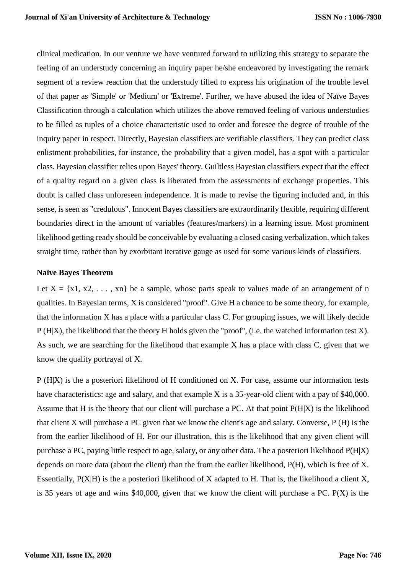clinical medication. In our venture we have ventured forward to utilizing this strategy to separate the feeling of an understudy concerning an inquiry paper he/she endeavored by investigating the remark segment of a review reaction that the understudy filled to express his origination of the trouble level of that paper as 'Simple' or 'Medium' or 'Extreme'. Further, we have abused the idea of Naïve Bayes Classification through a calculation which utilizes the above removed feeling of various understudies to be filled as tuples of a choice characteristic used to order and foresee the degree of trouble of the inquiry paper in respect. Directly, Bayesian classifiers are verifiable classifiers. They can predict class enlistment probabilities, for instance, the probability that a given model, has a spot with a particular class. Bayesian classifier relies upon Bayes' theory. Guiltless Bayesian classifiers expect that the effect of a quality regard on a given class is liberated from the assessments of exchange properties. This doubt is called class unforeseen independence. It is made to revise the figuring included and, in this sense, is seen as "credulous". Innocent Bayes classifiers are extraordinarily flexible, requiring different boundaries direct in the amount of variables (features/markers) in a learning issue. Most prominent likelihood getting ready should be conceivable by evaluating a closed casing verbalization, which takes straight time, rather than by exorbitant iterative gauge as used for some various kinds of classifiers.

#### **Naïve Bayes Theorem**

Let  $X = \{x1, x2, \ldots, xn\}$  be a sample, whose parts speak to values made of an arrangement of n qualities. In Bayesian terms, X is considered "proof". Give H a chance to be some theory, for example, that the information X has a place with a particular class C. For grouping issues, we will likely decide P (H|X), the likelihood that the theory H holds given the "proof", (i.e. the watched information test X). As such, we are searching for the likelihood that example X has a place with class C, given that we know the quality portrayal of X.

P (H|X) is the a posteriori likelihood of H conditioned on X. For case, assume our information tests have characteristics: age and salary, and that example X is a 35-year-old client with a pay of \$40,000. Assume that H is the theory that our client will purchase a PC. At that point P(H|X) is the likelihood that client X will purchase a PC given that we know the client's age and salary. Converse, P (H) is the from the earlier likelihood of H. For our illustration, this is the likelihood that any given client will purchase a PC, paying little respect to age, salary, or any other data. The a posteriori likelihood P(H|X) depends on more data (about the client) than the from the earlier likelihood, P(H), which is free of X. Essentially, P(X|H) is the a posteriori likelihood of X adapted to H. That is, the likelihood a client X, is 35 years of age and wins \$40,000, given that we know the client will purchase a PC. P(X) is the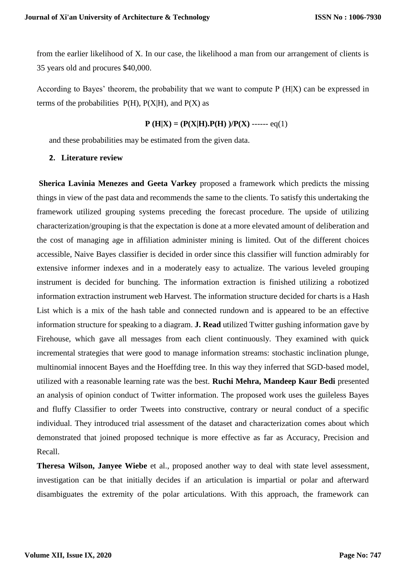from the earlier likelihood of X. In our case, the likelihood a man from our arrangement of clients is 35 years old and procures \$40,000.

According to Bayes' theorem, the probability that we want to compute P (H|X) can be expressed in terms of the probabilities  $P(H)$ ,  $P(X|H)$ , and  $P(X)$  as

 $P(H|X) = (P(X|H).P(H)) / P(X)$  ------ eq(1)

and these probabilities may be estimated from the given data.

# **2. Literature review**

**Sherica Lavinia Menezes and Geeta Varkey** proposed a framework which predicts the missing things in view of the past data and recommends the same to the clients. To satisfy this undertaking the framework utilized grouping systems preceding the forecast procedure. The upside of utilizing characterization/grouping is that the expectation is done at a more elevated amount of deliberation and the cost of managing age in affiliation administer mining is limited. Out of the different choices accessible, Naive Bayes classifier is decided in order since this classifier will function admirably for extensive informer indexes and in a moderately easy to actualize. The various leveled grouping instrument is decided for bunching. The information extraction is finished utilizing a robotized information extraction instrument web Harvest. The information structure decided for charts is a Hash List which is a mix of the hash table and connected rundown and is appeared to be an effective information structure for speaking to a diagram. **J. Read** utilized Twitter gushing information gave by Firehouse, which gave all messages from each client continuously. They examined with quick incremental strategies that were good to manage information streams: stochastic inclination plunge, multinomial innocent Bayes and the Hoeffding tree. In this way they inferred that SGD-based model, utilized with a reasonable learning rate was the best. **Ruchi Mehra, Mandeep Kaur Bedi** presented an analysis of opinion conduct of Twitter information. The proposed work uses the guileless Bayes and fluffy Classifier to order Tweets into constructive, contrary or neural conduct of a specific individual. They introduced trial assessment of the dataset and characterization comes about which demonstrated that joined proposed technique is more effective as far as Accuracy, Precision and Recall.

**Theresa Wilson, Janyee Wiebe** et al., proposed another way to deal with state level assessment, investigation can be that initially decides if an articulation is impartial or polar and afterward disambiguates the extremity of the polar articulations. With this approach, the framework can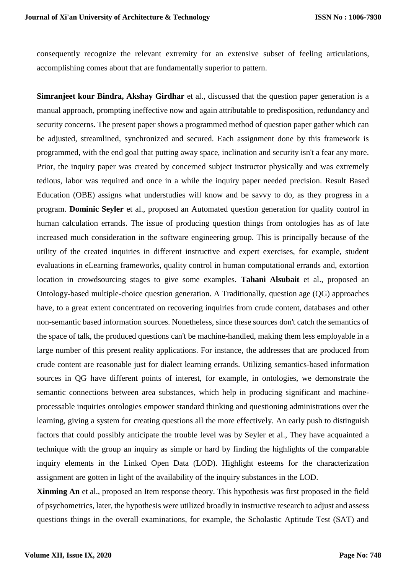consequently recognize the relevant extremity for an extensive subset of feeling articulations, accomplishing comes about that are fundamentally superior to pattern.

**Simranjeet kour Bindra, Akshay Girdhar** et al., discussed that the question paper generation is a manual approach, prompting ineffective now and again attributable to predisposition, redundancy and security concerns. The present paper shows a programmed method of question paper gather which can be adjusted, streamlined, synchronized and secured. Each assignment done by this framework is programmed, with the end goal that putting away space, inclination and security isn't a fear any more. Prior, the inquiry paper was created by concerned subject instructor physically and was extremely tedious, labor was required and once in a while the inquiry paper needed precision. Result Based Education (OBE) assigns what understudies will know and be savvy to do, as they progress in a program. **Dominic Seyler** et al., proposed an Automated question generation for quality control in human calculation errands. The issue of producing question things from ontologies has as of late increased much consideration in the software engineering group. This is principally because of the utility of the created inquiries in different instructive and expert exercises, for example, student evaluations in eLearning frameworks, quality control in human computational errands and, extortion location in crowdsourcing stages to give some examples. **Tahani Alsubait** et al., proposed an Ontology-based multiple-choice question generation. A Traditionally, question age (QG) approaches have, to a great extent concentrated on recovering inquiries from crude content, databases and other non-semantic based information sources. Nonetheless, since these sources don't catch the semantics of the space of talk, the produced questions can't be machine-handled, making them less employable in a large number of this present reality applications. For instance, the addresses that are produced from crude content are reasonable just for dialect learning errands. Utilizing semantics-based information sources in QG have different points of interest, for example, in ontologies, we demonstrate the semantic connections between area substances, which help in producing significant and machineprocessable inquiries ontologies empower standard thinking and questioning administrations over the learning, giving a system for creating questions all the more effectively. An early push to distinguish factors that could possibly anticipate the trouble level was by Seyler et al., They have acquainted a technique with the group an inquiry as simple or hard by finding the highlights of the comparable inquiry elements in the Linked Open Data (LOD). Highlight esteems for the characterization assignment are gotten in light of the availability of the inquiry substances in the LOD.

**Xinming An** et al., proposed an Item response theory. This hypothesis was first proposed in the field of psychometrics, later, the hypothesis were utilized broadly in instructive research to adjust and assess questions things in the overall examinations, for example, the Scholastic Aptitude Test (SAT) and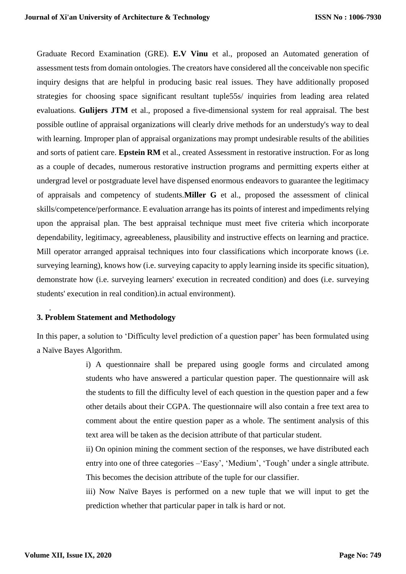Graduate Record Examination (GRE). **E.V Vinu** et al., proposed an Automated generation of assessment tests from domain ontologies. The creators have considered all the conceivable non specific inquiry designs that are helpful in producing basic real issues. They have additionally proposed strategies for choosing space significant resultant tuple55s/ inquiries from leading area related evaluations. **Gulijers JTM** et al., proposed a five-dimensional system for real appraisal. The best possible outline of appraisal organizations will clearly drive methods for an understudy's way to deal with learning. Improper plan of appraisal organizations may prompt undesirable results of the abilities and sorts of patient care. **Epstein RM** et al., created Assessment in restorative instruction. For as long as a couple of decades, numerous restorative instruction programs and permitting experts either at undergrad level or postgraduate level have dispensed enormous endeavors to guarantee the legitimacy of appraisals and competency of students.**Miller G** et al., proposed the assessment of clinical skills/competence/performance. E evaluation arrange has its points of interest and impediments relying upon the appraisal plan. The best appraisal technique must meet five criteria which incorporate dependability, legitimacy, agreeableness, plausibility and instructive effects on learning and practice. Mill operator arranged appraisal techniques into four classifications which incorporate knows (i.e. surveying learning), knows how (i.e. surveying capacity to apply learning inside its specific situation), demonstrate how (i.e. surveying learners' execution in recreated condition) and does (i.e. surveying students' execution in real condition).in actual environment).

# **3. Problem Statement and Methodology**

.

In this paper, a solution to 'Difficulty level prediction of a question paper' has been formulated using a Naïve Bayes Algorithm.

> i) A questionnaire shall be prepared using google forms and circulated among students who have answered a particular question paper. The questionnaire will ask the students to fill the difficulty level of each question in the question paper and a few other details about their CGPA. The questionnaire will also contain a free text area to comment about the entire question paper as a whole. The sentiment analysis of this text area will be taken as the decision attribute of that particular student.

> ii) On opinion mining the comment section of the responses, we have distributed each entry into one of three categories –'Easy', 'Medium', 'Tough' under a single attribute. This becomes the decision attribute of the tuple for our classifier.

> iii) Now Naïve Bayes is performed on a new tuple that we will input to get the prediction whether that particular paper in talk is hard or not.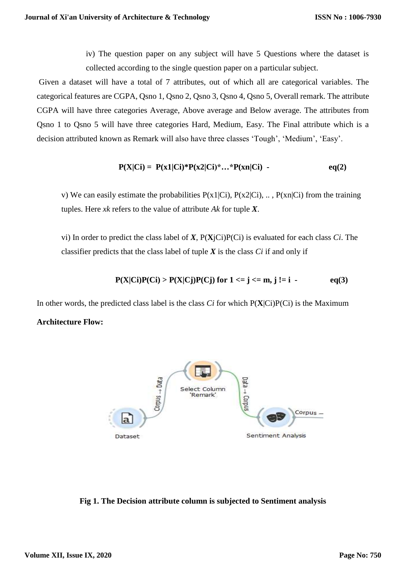iv) The question paper on any subject will have 5 Questions where the dataset is collected according to the single question paper on a particular subject.

Given a dataset will have a total of 7 attributes, out of which all are categorical variables. The categorical features are CGPA, Qsno 1, Qsno 2, Qsno 3, Qsno 4, Qsno 5, Overall remark. The attribute CGPA will have three categories Average, Above average and Below average. The attributes from Qsno 1 to Qsno 5 will have three categories Hard, Medium, Easy. The Final attribute which is a decision attributed known as Remark will also have three classes 'Tough', 'Medium', 'Easy'.

$$
P(X|Ci) = P(x1|Ci)*P(x2|Ci)*...*P(xn|Ci) - eq(2)
$$

v) We can easily estimate the probabilities  $P(x1|Ci)$ ,  $P(x2|Ci)$ , ...,  $P(xn|Ci)$  from the training tuples. Here *xk* refers to the value of attribute *Ak* for tuple *X*.

vi) In order to predict the class label of *X*, P(**X**jCi)P(Ci) is evaluated for each class *Ci*. The classifier predicts that the class label of tuple *X* is the class *Ci* if and only if

$$
P(X|Ci)P(Ci) > P(X|Cj)P(Cj)
$$
 for  $1 \le j \le m, j != i$  - eq(3)

In other words, the predicted class label is the class *Ci* for which P(**X**|Ci)P(Ci) is the Maximum

# **Architecture Flow:**



**Fig 1. The Decision attribute column is subjected to Sentiment analysis**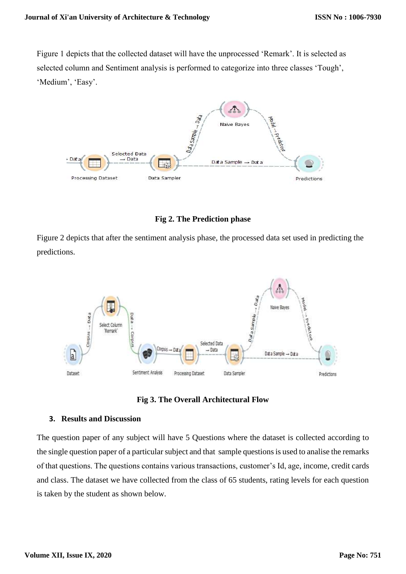Figure 1 depicts that the collected dataset will have the unprocessed 'Remark'. It is selected as selected column and Sentiment analysis is performed to categorize into three classes 'Tough', 'Medium', 'Easy'.



**Fig 2. The Prediction phase**

Figure 2 depicts that after the sentiment analysis phase, the processed data set used in predicting the predictions.





#### **3. Results and Discussion**

The question paper of any subject will have 5 Questions where the dataset is collected according to the single question paper of a particular subject and that sample questions is used to analise the remarks of that questions. The questions contains various transactions, customer's Id, age, income, credit cards and class. The dataset we have collected from the class of 65 students, rating levels for each question is taken by the student as shown below.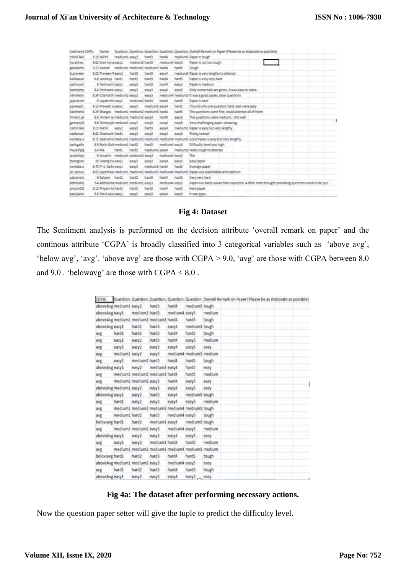| Username CSPA: | Name:                                       |                     |               |               |               |       | Question. Question. Question. Question. Question. Overall Remark on Paper (Please be as elaborate as possible) |
|----------------|---------------------------------------------|---------------------|---------------|---------------|---------------|-------|----------------------------------------------------------------------------------------------------------------|
| mikhiž Iský    | 9.15 Nichi                                  | mediumI easy2 hard3 |               |               | hardd         |       | mediumS Paper is tough                                                                                         |
| eynathes.      | S.62 Sree Vynaeasul medium2 hand3           |                     |               |               | medium4 eary5 |       | Paper is not too tough.                                                                                        |
| pkailashn;     | 5.22 kailash inedium) medium2 nedium3 hard4 |                     |               |               |               | hards | Tough.                                                                                                         |
| b.prayeer      | 9.32 Prayeen Reaso1                         |                     | hard2         | hard3         | easyL         |       | medium5. Paper is very lengthy to attempt                                                                      |
| kailasasar     | E.5 sandeep hardt                           |                     | hard2         | hard3         | hardt         | hard5 | Paper is very very hard.                                                                                       |
| pedmaant:      | E Yeshwant easy1                            |                     | <b>BEG2</b>   | hard3         | hard4         | 4855  | Paper is medium                                                                                                |
| kamisetty      | E.4 Yeshwant easy1                          |                     | eand?         | eand          | easy4         | eand  | Only numericals are given, it was easy to solve.                                                               |
| nichilech.     | 8.34 Chamatth medium) easily                |                     |               | eagg?         |               |       | medium4 medium5 it was a good paper, clear questions                                                           |
| Lava Arishi    | Il Javakrishr easy1                         |                     | medium2 hard3 |               | hard4         | hand5 | Pager is hard                                                                                                  |
| potavech.      | 9.13 Prayesh Jaeasa'I                       |                     | eans2         | medium3 easy4 |               | hand5 | I found only one question hard, rest were easy                                                                 |
| karichetib     | 8.29 Bhargay medium) medium2 medium3 hard4  |                     |               |               |               | hand5 | The questions were fine, could attempt all of them.                                                            |
| himani lai     | E.E. Himani Ja medium) medium2 easy3.       |                     |               |               | hard4.        | easys | The questions were medium, i did well                                                                          |
| peetaniali     | 5.2 Geetanial medium) ears/2                |                     |               | ease          | easyL         | easo  | Very challenging paper. Amazing,                                                                               |
| nichil laid    | 9.15 Nikhil easy1                           |                     | $+45/2$       | hards         | aged.         |       | mediumS Paper is easy but very lengthy.                                                                        |
| vadlaman.      | 8.82 Shashank hardt                         |                     | 8892          | easy3         | $-2274$       | ease  | Pretty normal                                                                                                  |
| venkata.s      |                                             |                     |               |               |               |       | 8.75 Sakrishni medium1 medium2 medium3 medium4 medium5 Good Paper is easy but very lengthy.                    |
| rashigaikz     | 5.5 Rashi Galkmedium) hard2                 |                     |               | Bard3         | mediuma eara5 |       | Difficulty level was high.                                                                                     |
| miself@g       | 6.4 Me                                      | hardI               | hard2         | medium3 easy4 |               |       | mediumS really tough to attempt.                                                                               |
| anuknitios     | EAtuktts medium) medium2 eatuS              |                     |               |               | medium4 eary5 |       | The                                                                                                            |
| tarangven      | 10 Tarang Ve easy1                          |                     | eas2          | easy3         | easyd         | easy5 | esty paper.                                                                                                    |
| verkata s      | 8.75 P.V. Saikt eagal                       |                     | easc2         | medium3 hard4 |               | hardS | Average paper                                                                                                  |
| izz.sprous     |                                             |                     |               |               |               |       | 8.67 jasprit ka, medium1 medium2 medium3 medium4 medium5 Paper was predictable and medium                      |
| satyamche      | 6 Sabiam hardt                              |                     | hard2         | hards         | hard4         | hards | Very very hard                                                                                                 |
| abhilashai     | Eyas Smidsham Imultan sites/iddle.          |                     |               |               | medium4 easy5 |       | Paper use fairly easier than expected. A little more thought provoking questions need to be put.               |
| privam25       | 5.12 Privam Kaihard1                        |                     | hard2         | hard3         | hard4         | hand5 | Hard paper                                                                                                     |
| paruliaiss     | 9.8 Parul taisu easy1                       |                     | sen2          | eand.         | easy4         | easo  | <b>世界部 645k </b>                                                                                               |

#### **Fig 4: Dataset**

The Sentiment analysis is performed on the decision attribute 'overall remark on paper' and the continous attribute 'CGPA' is broadly classified into 3 categorical variables such as 'above avg', 'below avg', 'avg'. 'above avg' are those with CGPA > 9.0, 'avg' are those with CGPA between 8.0 and  $9.0$ . 'belowavg' are those with CGPA  $< 8.0$ .

| aboveAvg medium1 easy2<br>hard4<br>medium5 tough<br>hard3<br>medium2 hard3<br>medium4 easy5<br>aboveAvg easy1<br>medium<br>aboveAvg medium1 medium2 medium3 hard4<br>tough<br>hard5<br>aboveAvg easy1<br>hard2<br>hard3<br>medium3 tough<br>easy4<br>hard5<br>hard1<br>hard2<br>hard3<br>hard4<br>tough<br>avg<br>hard3<br>hard4<br>easy2<br>easy5<br>medium<br>easyl<br>avg<br>easy2<br>easy4<br>easy5<br>easy1<br>easy3<br>easy<br>avg.<br>easy3<br>medium4 medium5 medium<br>medium1 easy2<br>avg<br>medium2 hard3<br>hard4<br>hard5<br>easy1<br>tough<br>avg<br>hard5<br>aboveAvg easy1<br>easy2<br>medium3 easy4<br>easy<br>medium1 medium2 medium3 hard4<br>hard5<br>medium<br>avg<br>medium1 medium2 easy3<br>hard4<br>easy5<br>easy<br><b>avg</b><br>easy5<br>aboveAvg medium1 easy2<br>easy4<br>easy3<br>easy<br>aboveAvg easy1<br>medium5 tough<br>easy2<br>hardll<br>easy4<br>easy3<br>easy4<br>easy5<br>hard1<br>easy2<br>medium<br>avg<br>medium1 medium2 medium3 medium4 medium5 tough<br>ave.<br>medium1 hard2<br>hard3<br>medium4 easy5<br>tough<br>avg<br>belowavg hard1<br>medium5 tough<br>hard2<br>medium3 easy4<br>medium1 medium2 easy3<br>medium4 easy5<br>medium<br>avg<br>aboveAvg easy1<br>easy2<br>easy3<br>easyd<br>easy5<br>easy<br>medium3 hard4<br>hard <sub>5</sub><br>easy2<br>medium<br>easyl<br>avg<br>medium1 medium2 medium3 medium4 medium5 medium<br>avg<br>belowayg hard1<br>hard5<br>hard2<br>hard3<br>hard4<br>tough | Question, Question, Question, Question, Question, Overall Remark on Paper (Please be as elaborate as possible) |
|----------------------------------------------------------------------------------------------------------------------------------------------------------------------------------------------------------------------------------------------------------------------------------------------------------------------------------------------------------------------------------------------------------------------------------------------------------------------------------------------------------------------------------------------------------------------------------------------------------------------------------------------------------------------------------------------------------------------------------------------------------------------------------------------------------------------------------------------------------------------------------------------------------------------------------------------------------------------------------------------------------------------------------------------------------------------------------------------------------------------------------------------------------------------------------------------------------------------------------------------------------------------------------------------------------------------------------------------------------------------------------------------------------------------------------------------------------------|----------------------------------------------------------------------------------------------------------------|
|                                                                                                                                                                                                                                                                                                                                                                                                                                                                                                                                                                                                                                                                                                                                                                                                                                                                                                                                                                                                                                                                                                                                                                                                                                                                                                                                                                                                                                                                |                                                                                                                |
|                                                                                                                                                                                                                                                                                                                                                                                                                                                                                                                                                                                                                                                                                                                                                                                                                                                                                                                                                                                                                                                                                                                                                                                                                                                                                                                                                                                                                                                                |                                                                                                                |
|                                                                                                                                                                                                                                                                                                                                                                                                                                                                                                                                                                                                                                                                                                                                                                                                                                                                                                                                                                                                                                                                                                                                                                                                                                                                                                                                                                                                                                                                |                                                                                                                |
|                                                                                                                                                                                                                                                                                                                                                                                                                                                                                                                                                                                                                                                                                                                                                                                                                                                                                                                                                                                                                                                                                                                                                                                                                                                                                                                                                                                                                                                                |                                                                                                                |
|                                                                                                                                                                                                                                                                                                                                                                                                                                                                                                                                                                                                                                                                                                                                                                                                                                                                                                                                                                                                                                                                                                                                                                                                                                                                                                                                                                                                                                                                |                                                                                                                |
|                                                                                                                                                                                                                                                                                                                                                                                                                                                                                                                                                                                                                                                                                                                                                                                                                                                                                                                                                                                                                                                                                                                                                                                                                                                                                                                                                                                                                                                                |                                                                                                                |
|                                                                                                                                                                                                                                                                                                                                                                                                                                                                                                                                                                                                                                                                                                                                                                                                                                                                                                                                                                                                                                                                                                                                                                                                                                                                                                                                                                                                                                                                |                                                                                                                |
|                                                                                                                                                                                                                                                                                                                                                                                                                                                                                                                                                                                                                                                                                                                                                                                                                                                                                                                                                                                                                                                                                                                                                                                                                                                                                                                                                                                                                                                                |                                                                                                                |
|                                                                                                                                                                                                                                                                                                                                                                                                                                                                                                                                                                                                                                                                                                                                                                                                                                                                                                                                                                                                                                                                                                                                                                                                                                                                                                                                                                                                                                                                |                                                                                                                |
|                                                                                                                                                                                                                                                                                                                                                                                                                                                                                                                                                                                                                                                                                                                                                                                                                                                                                                                                                                                                                                                                                                                                                                                                                                                                                                                                                                                                                                                                |                                                                                                                |
|                                                                                                                                                                                                                                                                                                                                                                                                                                                                                                                                                                                                                                                                                                                                                                                                                                                                                                                                                                                                                                                                                                                                                                                                                                                                                                                                                                                                                                                                |                                                                                                                |
|                                                                                                                                                                                                                                                                                                                                                                                                                                                                                                                                                                                                                                                                                                                                                                                                                                                                                                                                                                                                                                                                                                                                                                                                                                                                                                                                                                                                                                                                |                                                                                                                |
|                                                                                                                                                                                                                                                                                                                                                                                                                                                                                                                                                                                                                                                                                                                                                                                                                                                                                                                                                                                                                                                                                                                                                                                                                                                                                                                                                                                                                                                                |                                                                                                                |
|                                                                                                                                                                                                                                                                                                                                                                                                                                                                                                                                                                                                                                                                                                                                                                                                                                                                                                                                                                                                                                                                                                                                                                                                                                                                                                                                                                                                                                                                |                                                                                                                |
|                                                                                                                                                                                                                                                                                                                                                                                                                                                                                                                                                                                                                                                                                                                                                                                                                                                                                                                                                                                                                                                                                                                                                                                                                                                                                                                                                                                                                                                                |                                                                                                                |
|                                                                                                                                                                                                                                                                                                                                                                                                                                                                                                                                                                                                                                                                                                                                                                                                                                                                                                                                                                                                                                                                                                                                                                                                                                                                                                                                                                                                                                                                |                                                                                                                |
|                                                                                                                                                                                                                                                                                                                                                                                                                                                                                                                                                                                                                                                                                                                                                                                                                                                                                                                                                                                                                                                                                                                                                                                                                                                                                                                                                                                                                                                                |                                                                                                                |
|                                                                                                                                                                                                                                                                                                                                                                                                                                                                                                                                                                                                                                                                                                                                                                                                                                                                                                                                                                                                                                                                                                                                                                                                                                                                                                                                                                                                                                                                |                                                                                                                |
|                                                                                                                                                                                                                                                                                                                                                                                                                                                                                                                                                                                                                                                                                                                                                                                                                                                                                                                                                                                                                                                                                                                                                                                                                                                                                                                                                                                                                                                                |                                                                                                                |
|                                                                                                                                                                                                                                                                                                                                                                                                                                                                                                                                                                                                                                                                                                                                                                                                                                                                                                                                                                                                                                                                                                                                                                                                                                                                                                                                                                                                                                                                |                                                                                                                |
|                                                                                                                                                                                                                                                                                                                                                                                                                                                                                                                                                                                                                                                                                                                                                                                                                                                                                                                                                                                                                                                                                                                                                                                                                                                                                                                                                                                                                                                                |                                                                                                                |
|                                                                                                                                                                                                                                                                                                                                                                                                                                                                                                                                                                                                                                                                                                                                                                                                                                                                                                                                                                                                                                                                                                                                                                                                                                                                                                                                                                                                                                                                |                                                                                                                |
|                                                                                                                                                                                                                                                                                                                                                                                                                                                                                                                                                                                                                                                                                                                                                                                                                                                                                                                                                                                                                                                                                                                                                                                                                                                                                                                                                                                                                                                                |                                                                                                                |
| aboveAvg medium1 medium2 easy3<br>medium4 easy5<br>easy                                                                                                                                                                                                                                                                                                                                                                                                                                                                                                                                                                                                                                                                                                                                                                                                                                                                                                                                                                                                                                                                                                                                                                                                                                                                                                                                                                                                        |                                                                                                                |
| hard1<br>hard2<br>hard4<br>hard3<br>hard5<br>tough<br>ave                                                                                                                                                                                                                                                                                                                                                                                                                                                                                                                                                                                                                                                                                                                                                                                                                                                                                                                                                                                                                                                                                                                                                                                                                                                                                                                                                                                                      |                                                                                                                |
| aboveAvg easy1<br>easy2<br>easy3<br>easy4<br>easy5<br>easy                                                                                                                                                                                                                                                                                                                                                                                                                                                                                                                                                                                                                                                                                                                                                                                                                                                                                                                                                                                                                                                                                                                                                                                                                                                                                                                                                                                                     |                                                                                                                |

#### **Fig 4a: The dataset after performing necessary actions.**

Now the question paper setter will give the tuple to predict the difficulty level.